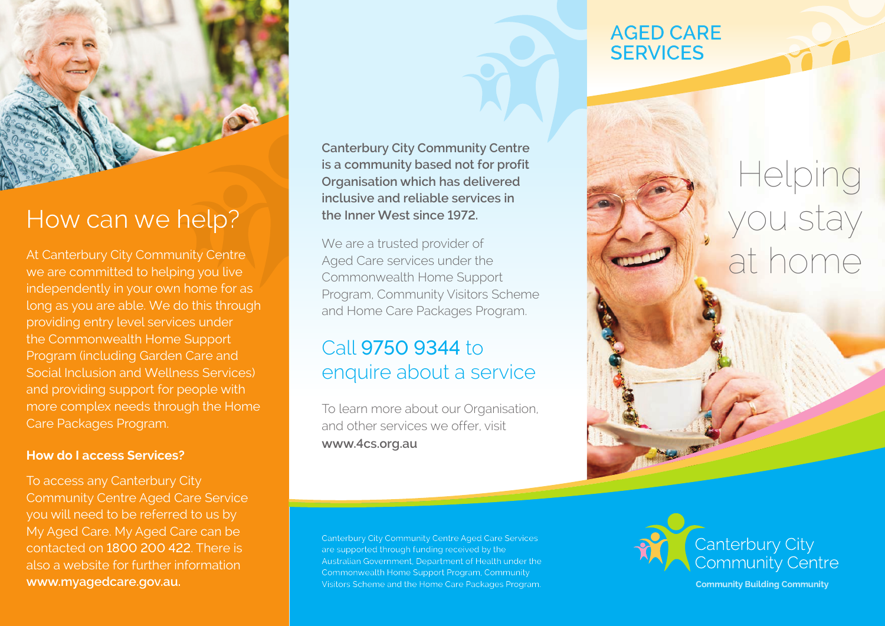

## How can we help?

At Canterbury City Community Centre we are committed to helping you live independently in your own home for as long as you are able. We do this through providing entry level services under the Commonwealth Home Support Program (including Garden Care and Social Inclusion and Wellness Services) and providing support for people with more complex needs through the Home Care Packages Program.

### **How do I access Services?**

To access any Canterbury City Community Centre Aged Care Service you will need to be referred to us by My Aged Care. My Aged Care can be contacted on 1800 200 422. There is also a website for further information **www.myagedcare.gov.au.**

**Canterbury City Community Centre is a community based not for profit Organisation which has delivered inclusive and reliable services in the Inner West since 1972.** 

We are a trusted provider of Aged Care services under the Commonwealth Home Support Program, Community Visitors Scheme and Home Care Packages Program.

## Call 9750 9344 to enquire about a service

To learn more about our Organisation, and other services we offer, visit **www.4cs.org.au**

Canterbury City Community Centre Aged Care Services are supported through funding received by the Australian Government, Department of Health under the Commonwealth Home Support Program, Community Visitors Scheme and the Home Care Packages Program.

## **AGED CARE SERVICES**

# elping you stay at home



**Community Building Community**